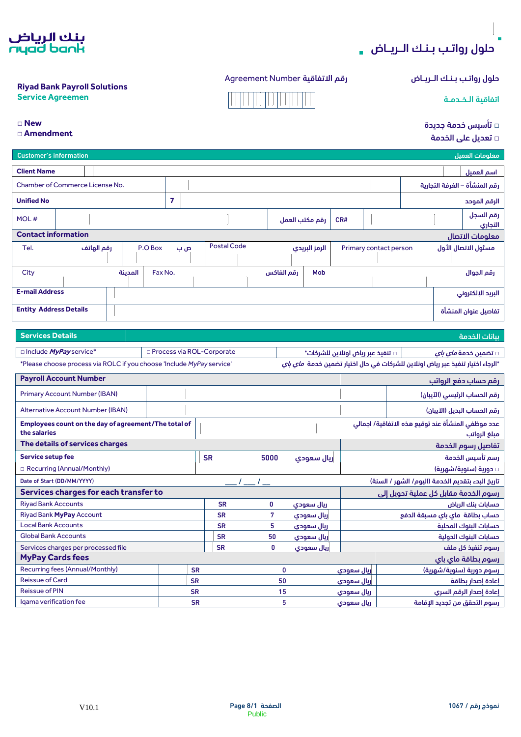

#### حلول رواتـب بـنـك الـريــاض رقم التفاقية Agreement Number



**□ New**

**□ Amendment**

بنك الرياض<br>rıyad bank

**Riyad Bank Payroll Solutions**

|  |  | □ تأسيس خدمة جديدة |  |
|--|--|--------------------|--|
|--|--|--------------------|--|

| □ تعديل على الخدمة |  |
|--------------------|--|

| - כ.                                                                                |                                    |                    |                       |                |                                   |                                                                                        |  |
|-------------------------------------------------------------------------------------|------------------------------------|--------------------|-----------------------|----------------|-----------------------------------|----------------------------------------------------------------------------------------|--|
| <b>Customer's information</b>                                                       |                                    |                    |                       |                |                                   | معلومات العميل                                                                         |  |
| <b>Client Name</b><br>اسم العميل                                                    |                                    |                    |                       |                |                                   |                                                                                        |  |
| Chamber of Commerce License No.                                                     |                                    |                    |                       |                |                                   | رقم المنشأة – الغرفة التجارية                                                          |  |
| <b>Unified No</b>                                                                   | $\overline{7}$                     |                    |                       |                |                                   | الرقم الموحد                                                                           |  |
|                                                                                     |                                    |                    |                       |                |                                   | رقم السجل                                                                              |  |
| MOL#                                                                                |                                    |                    |                       | رقم مكتب العمل | CR#                               | التجاري                                                                                |  |
| <b>Contact information</b>                                                          |                                    |                    |                       |                |                                   | معلومات الاتصال                                                                        |  |
| P.O Box<br>Tel.<br>رقم الهاتف                                                       | ص ب                                | <b>Postal Code</b> |                       | الرمز البريدي  | Primary contact person            | مسئول الاتصال الأول                                                                    |  |
|                                                                                     |                                    |                    |                       |                |                                   |                                                                                        |  |
| City<br>المدىنة                                                                     | Fax No.                            |                    | رقم الفاكس            | Mob            |                                   | رقم الجوال                                                                             |  |
|                                                                                     |                                    |                    |                       |                |                                   |                                                                                        |  |
| <b>E-mail Address</b>                                                               |                                    |                    |                       |                |                                   | البريد الإلكتروني                                                                      |  |
| <b>Entity Address Details</b>                                                       |                                    |                    |                       |                |                                   | تفاصيل عنوان المنشأة                                                                   |  |
|                                                                                     |                                    |                    |                       |                |                                   |                                                                                        |  |
| <b>Services Details</b>                                                             |                                    |                    |                       |                |                                   | ببانات الخدمة                                                                          |  |
| Include MyPay service*                                                              | <b>D</b> Process via ROL-Corporate |                    |                       |                |                                   |                                                                                        |  |
|                                                                                     |                                    |                    |                       |                | □ تنفيذ عبر رياض اونلاين للشركات* | □ تضمين خدمة <i>ماى باى</i>                                                            |  |
| *Please choose process via ROLC if you choose 'Include MyPay service'               |                                    |                    |                       |                |                                   | *الرجاء اختيار تنفيذ عبر رياض اونلاين للشركات في حال اختيار تضمين خدمة م <i>اي باي</i> |  |
| <b>Payroll Account Number</b>                                                       |                                    |                    |                       |                |                                   | رقم حساب دفع الرواتب                                                                   |  |
| <b>Primary Account Number (IBAN)</b>                                                |                                    |                    |                       |                |                                   | رقم الحساب الرئيسي (الآيبان)                                                           |  |
| <b>Alternative Account Number (IBAN)</b>                                            |                                    |                    |                       |                |                                   | رقم الحساب البديل (الآيبان)                                                            |  |
| Employees count on the day of agreement/The total of                                |                                    |                    |                       |                |                                   | عدد موظفى المنشأة عند توقيع هذه الاتفاقية/ اجمالى                                      |  |
| the salaries                                                                        |                                    |                    |                       |                |                                   | مبلغ الرواتب                                                                           |  |
| The details of services charges                                                     |                                    |                    |                       |                |                                   | تفاصيل رسوم الخدمة                                                                     |  |
| <b>Service setup fee</b>                                                            |                                    | <b>SR</b>          | 5000                  | ريال سعودي     |                                   | رسم تأسيس الخدمة                                                                       |  |
| <b>E</b> Recurring (Annual/Monthly)<br>□ دورية (سنوية/شهرية)                        |                                    |                    |                       |                |                                   |                                                                                        |  |
| Date of Start (DD/MM/YYYY)<br>تاريخ البدء بتقديم الخدمة (اليوم/ الشهر / السنة)      |                                    |                    |                       |                |                                   |                                                                                        |  |
| Services charges for each transfer to<br>رسوم الخدمة مقابل كل عملية تحويل إلى       |                                    |                    |                       |                |                                   |                                                                                        |  |
| <b>Riyad Bank Accounts</b><br>0<br>حسابات بنك الرياض<br><b>SR</b><br>ربال سعودي     |                                    |                    |                       |                |                                   |                                                                                        |  |
| Riyad Bank MyPay Account<br><b>SR</b><br>7<br>ربال سعودي                            |                                    |                    |                       |                | حساب بطاقة ماى باى مسبقة الدفع    |                                                                                        |  |
| <b>Local Bank Accounts</b><br>5<br><b>SR</b><br>حسابات البنوك المحلية<br>ريال سعودي |                                    |                    |                       |                |                                   |                                                                                        |  |
| <b>Global Bank Accounts</b><br><b>SR</b><br>50<br>ريال سعودي                        |                                    |                    | حسابات البنوك الدولية |                |                                   |                                                                                        |  |
| Services charges per processed file                                                 |                                    | <b>SR</b>          | O                     | ريال سعودي     |                                   | رسوم تنفيذ كل ملف                                                                      |  |
| <b>MyPay Cards fees</b><br>رسوم بطاقة ماي باي                                       |                                    |                    |                       |                |                                   |                                                                                        |  |
| <b>Recurring fees (Annual/Monthly)</b>                                              | <b>SR</b>                          |                    | 0                     |                | ريال سعودي                        | رسوم دورية (سنوية/شهرية)                                                               |  |
| <b>Reissue of Card</b>                                                              | <b>SR</b>                          |                    | 50                    |                | ريال سعودي                        | إعادة إصدار بطاقة                                                                      |  |
| <b>Reissue of PIN</b>                                                               | <b>SR</b>                          |                    | 15                    |                | ريال سعودي                        | إعادة إصدار الرقم السرى                                                                |  |
| Iqama verification fee                                                              | <b>SR</b>                          |                    | 5                     |                | ريال سعودي                        | رسوم التحقق من تجديد الإقامة                                                           |  |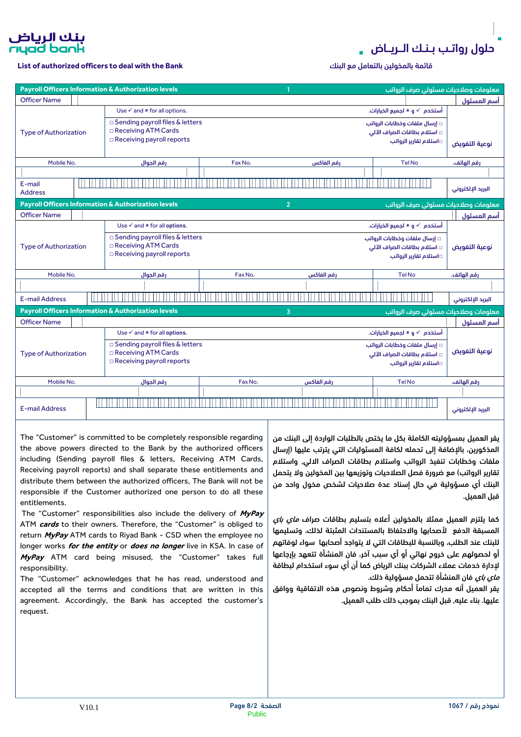

**List of authorized officers to deal with the Bank** البنك مع بالتعامل بالمخولين قائمة

|                              |  | <b>Payroll Officers Information &amp; Authorization levels</b> |         |                | معلومات وصلاحيات مسئولى صرف الرواتب |                   |
|------------------------------|--|----------------------------------------------------------------|---------|----------------|-------------------------------------|-------------------|
| <b>Officer Name</b>          |  |                                                                |         |                |                                     | أسم المسئول       |
|                              |  | Use $\checkmark$ and $*$ for all options.                      |         |                | أستخدم  √ و × لجميع الخيارات.       |                   |
|                              |  | $\square$ Sending payroll files & letters                      |         |                | □ إرسال ملفات وخطابات الرواتب       |                   |
| <b>Type of Authorization</b> |  | □ Receiving ATM Cards                                          |         |                | □ استلام بطاقات الصراف الآلى        |                   |
|                              |  | $\Box$ Receiving payroll reports                               |         |                | □استلام تقارير الرواتب              | نوعية التفويض     |
|                              |  |                                                                |         |                |                                     |                   |
| Mobile No.                   |  | رقم الجوال                                                     | Fax No. | رقم الفاكس     | <b>Tel No</b>                       | رقم الهاتف.       |
|                              |  |                                                                |         |                |                                     |                   |
| E-mail                       |  |                                                                |         |                |                                     |                   |
| <b>Address</b>               |  |                                                                |         |                |                                     | البريد الإلكتروني |
|                              |  | Payroll Officers Information & Authorization levels            |         | $\overline{2}$ | معلومات وصلاحيات مسئولى صرف الرواتب |                   |
| <b>Officer Name</b>          |  |                                                                |         |                |                                     | أسم المسئول       |
|                              |  | Use $\checkmark$ and $*$ for all options.                      |         |                | أستخدم  √ و × لجميع الخيارات.       |                   |
|                              |  | $\square$ Sending payroll files & letters                      |         |                | □ إرسال ملفات وخطابات الرواتب       |                   |
| <b>Type of Authorization</b> |  | □ Receiving ATM Cards                                          |         |                | □ استلام بطاقات الصراف الآلى        | نوعية التفويض     |
|                              |  | $\Box$ Receiving payroll reports                               |         |                | □استلام تقارير الرواتب              |                   |
|                              |  |                                                                |         |                |                                     |                   |
| Mobile No.                   |  | رقم الجوال                                                     | Fax No. | رقم الفاكس     | <b>Tel No</b>                       | رقم الهاتف.       |
|                              |  |                                                                |         |                |                                     |                   |
| <b>E-mail Address</b>        |  |                                                                |         |                |                                     | البريد الإلكتروني |
|                              |  | <b>Payroll Officers Information &amp; Authorization levels</b> |         | 3              | معلومات وصلاحيات مسئولى صرف الرواتب |                   |
| <b>Officer Name</b>          |  |                                                                |         |                |                                     | آسم المسئول       |
|                              |  | Use $\checkmark$ and $*$ for all options.                      |         |                | أستخدم  √ و × لجميع الخيارات.       |                   |
| <b>Type of Authorization</b> |  | $\square$ Sending payroll files & letters                      |         |                | □ إرسال ملفات وخطابات الرواتب       |                   |
|                              |  | □ Receiving ATM Cards                                          |         |                | □ استلام بطاقات الصراف الآلى        | نوعية التفويض     |
|                              |  | $\Box$ Receiving payroll reports                               |         |                | واستلام تقارير الرواتب              |                   |
|                              |  |                                                                |         |                |                                     |                   |
| Mobile No.                   |  | رقم الجوال                                                     | Fax No. | رقم الفاكس     | <b>TelNo</b>                        | رقم الهاتف.       |
|                              |  |                                                                |         |                |                                     |                   |
|                              |  |                                                                |         |                |                                     |                   |
|                              |  |                                                                |         |                |                                     |                   |
| <b>E-mail Address</b>        |  |                                                                |         |                |                                     | البريد الإلكتروني |

The "Customer" is committed to be completely responsible regarding the above powers directed to the Bank by the authorized officers including (Sending payroll files & letters, Receiving ATM Cards, Receiving payroll reports) and shall separate these entitlements and distribute them between the authorized officers, The Bank will not be responsible if the Customer authorized one person to do all these entitlements.

The "Customer" responsibilities also include the delivery of **MyPay** ATM **cards** to their owners. Therefore, the "Customer" is obliged to return **MyPay** ATM cards to Riyad Bank - CSD when the employee no longer works **for the entity** or **does no longer** live in KSA. In case of **MyPay** ATM card being misused, the "Customer" takes full responsibility.

The "Customer" acknowledges that he has read, understood and accepted all the terms and conditions that are written in this agreement. Accordingly, the Bank has accepted the customer's request.

يقر العميل بمسؤوليته الكاملة بكل ما يختص بالطلبات الواردة إلى البنك من المذكورين، باإلضافة إلى تحمله لكافة المسئوليات التي يترتب عليها (إرسال ملفات وخطابات تنفيذ الرواتب واستالم بطاقات الصراف االلي, واستالم تقارير الرواتب) مع ضرورة فصل الصلاحيات وتوزيعها بين المخولين ولا يتحمل البنك أي مسؤولية في حال إسناد عدة صالحيات لشخص مخول واحد من قبل العميل.

كما يلتزم العميل ممثال بالمخولين أعاله بتسليم بطاقات صراف ماي باي المسبقة الدفع الأصحابها والاحتفاظ بالمستندات المثبتة لذلك، وتسليمها للبنك عند الطلب، وبالنسبة للبطاقات التي ال يتواجد أصحابها سواء لوفاتهم أو لحصولهم على خروج نهائي أو أي سبب آخر، فان المنشأة تتعهد بإرجاعها إلدارة خدمات عمالء الشركات ببنك الرياض كما أن أي سوء استخدام لبطاقة *ماي باي* فان المنشأة تتحمل مسؤولية ذلك.

يقر العميل أنه مدرك تماماً أحكام وشروط ونصوص هذه االتفاقية ووافق عليها. بناء عليه, قبل البنك بموجب ذلك طلب العميل.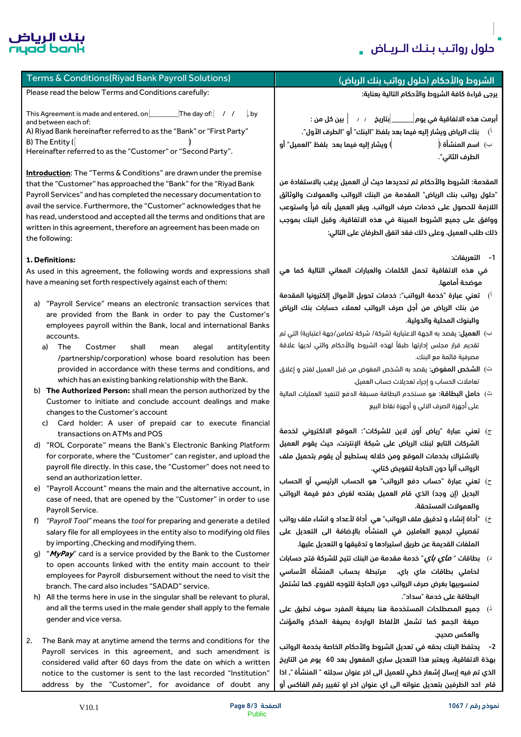$\overline{1}$ 

É



| Terms & Conditions(Riyad Bank Payroll Solutions)                                                                                                                                                                                                                                                                                                                                                                                                                                                                                                                                                                                                                                                                                                                                                                                                                                                                                                                                                                                                                                     | الشروط والأحكام (حلول رواتب بنك الرياض)                                                                                                                                                                                                                                                                                                                                                                                                                                                                                                                                                                                                                                                                                                                                                                                                                            |
|--------------------------------------------------------------------------------------------------------------------------------------------------------------------------------------------------------------------------------------------------------------------------------------------------------------------------------------------------------------------------------------------------------------------------------------------------------------------------------------------------------------------------------------------------------------------------------------------------------------------------------------------------------------------------------------------------------------------------------------------------------------------------------------------------------------------------------------------------------------------------------------------------------------------------------------------------------------------------------------------------------------------------------------------------------------------------------------|--------------------------------------------------------------------------------------------------------------------------------------------------------------------------------------------------------------------------------------------------------------------------------------------------------------------------------------------------------------------------------------------------------------------------------------------------------------------------------------------------------------------------------------------------------------------------------------------------------------------------------------------------------------------------------------------------------------------------------------------------------------------------------------------------------------------------------------------------------------------|
| Please read the below Terms and Conditions carefully:                                                                                                                                                                                                                                                                                                                                                                                                                                                                                                                                                                                                                                                                                                                                                                                                                                                                                                                                                                                                                                | يرجى قراءة كافة الشروط والأحكام التالية بعناية:                                                                                                                                                                                                                                                                                                                                                                                                                                                                                                                                                                                                                                                                                                                                                                                                                    |
| This Agreement is made and entered, on <b>The day of:</b> / /<br>, by<br>and between each of:<br>A) Riyad Bank hereinafter referred to as the "Bank" or "First Party"<br>B) The Entity (<br>Hereinafter referred to as the "Customer" or "Second Party".<br><b>Introduction:</b> The "Terms & Conditions" are drawn under the premise                                                                                                                                                                                                                                                                                                                                                                                                                                                                                                                                                                                                                                                                                                                                                | أبرمت هذه الاتفاقية فى يوم $\begin{vmatrix} \text{ } & \text{ } & \text{ } & \text{ } \end{vmatrix}$ بين كل من :<br>اً)      بنك الرياض ويشار إليه فيما بعد بلفظ "البنك" أو "الطرف الأول".<br>) ويشار إليه فيما بعد  بلفظ "العميل" أو<br>ب)  اسم المنشأة (<br>الطرف الثاني".                                                                                                                                                                                                                                                                                                                                                                                                                                                                                                                                                                                       |
| that the "Customer" has approached the "Bank" for the "Riyad Bank<br>Payroll Services" and has completed the necessary documentation to<br>avail the service. Furthermore, the "Customer" acknowledges that he<br>has read, understood and accepted all the terms and onditions that are<br>written in this agreement, therefore an agreement has been made on<br>the following:                                                                                                                                                                                                                                                                                                                                                                                                                                                                                                                                                                                                                                                                                                     | المقدمة: الشروط والأحكام تم تحديدها حيث أن العميل يرغب بالاستفادة من<br>"حلول رواتب بنك الرياض" المقدمة من البنك الرواتب والعمولات والوثائق<br>اللازمة للحصول على خدمات صرف الرواتب. ويقر العميل بأنه قرأ واستوعب<br>ووافق على جميع الشروط المبينة في هذه الاتفاقية، وقبل البنك بموجب<br>ذلك طلب العميل، وعلى ذلك فقد اتفق الطرفان على التالي:                                                                                                                                                                                                                                                                                                                                                                                                                                                                                                                     |
| 1. Definitions:<br>As used in this agreement, the following words and expressions shall<br>have a meaning set forth respectively against each of them:<br>a) "Payroll Service" means an electronic transaction services that<br>are provided from the Bank in order to pay the Customer's<br>employees payroll within the Bank, local and international Banks<br>accounts.<br>The<br>Costmer<br>shall<br>antity(entity<br>alegal<br>a)<br>mean<br>/partnership/corporation) whose board resolution has been<br>provided in accordance with these terms and conditions, and<br>which has an existing banking relationship with the Bank.<br>b) The Authorized Person: shall mean the person authorized by the                                                                                                                                                                                                                                                                                                                                                                         | 1- التعريفات:<br>في هذه الاتفاقية تحمل الكلمات والعبارات المعاني التالية كما هي<br>موضحة أمامها.<br>أ)    تعني عبارة "خدمة الرواتب": خدمات تحويل الأموال إلكترونيا المقدمة<br>من بنك الرياض من أجل صرف الرواتب لعملاء حسابات بنك الرياض<br>والبنوك المحلية والدولية.<br>ب) <b>العميل:</b> يقصد به الجهة الاعتبارية (شركة/ شركة تضامن/جهة اعتبارية) التي تم<br>تقديم قرار مجلس إدارتها طبقآ لهذه الشروط والأحكام والتى لديها علاقة<br>مصرفية قائمة مع البنك.<br>ت) <b>الشخص المفوض:</b> يقصد به الشخص المفوض من قبل العميل لفتح و إغلاق<br>تعاملات الحساب وإجراء تعديلات حساب العميل.<br>ث) <b>حامل البطاقة:</b> هو مستخدم البطاقة مسبقة الدفع لتنفيذ العمليات المالية                                                                                                                                                                                              |
| Customer to initiate and conclude account dealings and make<br>changes to the Customer's account<br>c) Card holder: A user of prepaid car to execute financial<br>transactions on ATMs and POS<br>d) "ROL Corporate" means the Bank's Electronic Banking Platform<br>for corporate, where the "Customer" can register, and upload the<br>payroll file directly. In this case, the "Customer" does not need to<br>send an authorization letter.<br>"Payroll Account" means the main and the alternative account, in<br>e)<br>case of need, that are opened by the "Customer" in order to use<br>Payroll Service.<br>"Payroll Tool" means the tool for preparing and generate a detiled<br>f)<br>salary file for all employees in the entity also to modifying old files<br>by importing, Checking and modifying them.<br>"MyPay" card is a service provided by the Bank to the Customer<br>q)<br>to open accounts linked with the entity main account to their<br>employees for Payroll disbursement without the need to visit the<br>branch. The card also includes "SADAD" service. | على أجهزة الصرف الالي و أجهزة نقاط البيع<br>ج) تعني عبارة "رياض أون لاين للشركات": الموقع الالكتروني لخدمة<br>الشركات التابع لبنك الرياض على شبكة الإنترنت، حيث يقوم العميل<br>بالاشتراك بخدمات الموقع ومن خلاله يستطيع أن يقوم بتحميل ملف<br>الرواتب آلياً دون الحاجة لتفويض كتابي.<br>ح) تعني عبارة "حساب دفع الرواتب" هو الحساب الرئيسي أو الحساب<br>البديل (إن وجد) الذي قام العميل بفتحه لغرض دفع قيمة الرواتب<br>والعمولات المستحقة.<br>خ)    "أداة إنشاء و تدقيق ملف الرواتب" هي  أداة لأعداد و انشاء ملف رواتب<br>تفصيلى لجميع العاملين فى المنشأه بالإضافة الى التعديل على<br>الملفات القديمة عن طريق استيرادها و تدقيقها و التعديل عليها.<br>د)    بطاقات " <i>م<b>أي بأي</b></i> " خدمة مقدمة من البنك تتيح للشركة فتح حسابات<br>لحاملى بطاقات ماي باي،  مرتبطة بحساب المنشأة الأساسى<br>لمنسوبيها بغرض صرف الرواتب دون الحاجة للتوجه للفروع. كما تشتمل |
| h) All the terms here in use in the singular shall be relevant to plural,<br>and all the terms used in the male gender shall apply to the female<br>gender and vice versa.<br>2.<br>The Bank may at anytime amend the terms and conditions for the<br>Payroll services in this agreement, and such amendment is<br>considered valid after 60 days from the date on which a written                                                                                                                                                                                                                                                                                                                                                                                                                                                                                                                                                                                                                                                                                                   | البطاقة على خدمة "سداد".<br>$\zeta$ جميع المصطلحات المستخدمة هنا بصيغة المفرد سوف تطبق على $\zeta$<br>صيغة الجمع كما تشمل الألفاظ الواردة بصيغة المذكر والمؤنث<br>والعكس صحيح.<br>2-    يحتفظ البنك بحقه في تعديل الشروط والأحكام الخاصة بخدمة الرواتب<br>بهذة الاتفاقية، ويعتبر هذا التعديل ساري المفعول بعد 60 يوم من التاريخ                                                                                                                                                                                                                                                                                                                                                                                                                                                                                                                                    |
| notice to the customer is sent to the last recorded "Institution"<br>address by the "Customer", for avoidance of doubt any                                                                                                                                                                                                                                                                                                                                                                                                                                                                                                                                                                                                                                                                                                                                                                                                                                                                                                                                                           | الذي تم فيه إرسال إشعار خطى للعميل الى اخر عنوان سجلته " المنشأة ", اذا<br>قام  احد الطرفين بتعديل عنوانه الى اي عنوان اخر او تغيير رقم الفاكس أو                                                                                                                                                                                                                                                                                                                                                                                                                                                                                                                                                                                                                                                                                                                  |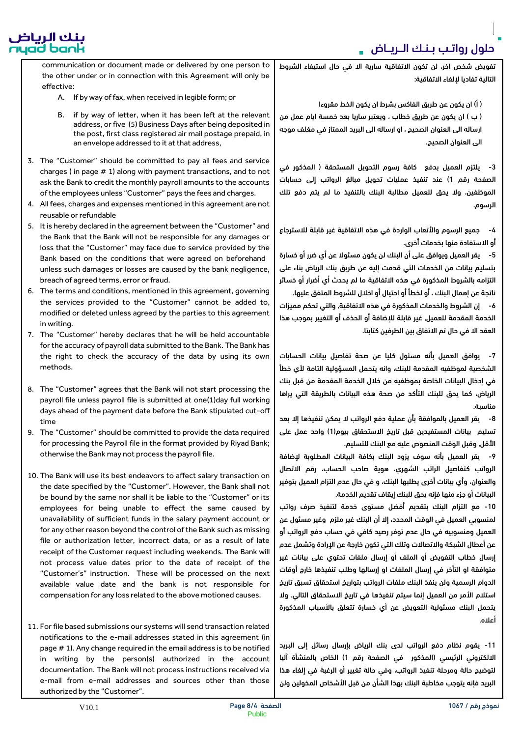بنك الرياض<br>riyad bank

تفويض شخص اخر، لن تكون االتفاقية سارية اال في حال استيفاء الشروط التالية تفاديا إللغاء االتفاقية:

) أ( ان يكون عن طريق الفاكس بشرط ان يكون الخط مقروءا

) ب ( ان يكون عن طريق خطاب ، ويعتبر ساريا بعد خمسة ايام عمل من ارساله الى العنوان الصحيح ، او ارساله الى البريد الممتاز في مغلف موجه الى العنوان الصحيح.

3- يلتزم العميل بدفع كافة رسوم التحويل المستحقة ( المذكور في الصفحة رقم 1) عند تنفيذ عمليات تحويل مبالغ الرواتب إلى حسابات الموظفين، وال يحق للعميل مطالبة البنك بالتنفيذ ما لم يتم دفع تلك الرسوم.

-4 جميع الرسوم واألتعاب الواردة في هذه االتفاقية غير قابلة لالسترجاع أو االستفادة منها بخدمات أخرى.

-5 يقر العميل ويوافق على أن البنك لن يكون مسئوال عن أي ضرر أو خسارة بتسليم بيانات من الخدمات التي قدمت إليه عن طريق بنك الرياض بناء على التزامه بالشروط المذكورة في هذه االتفاقية ما لم يحدث أي أضرار أو خسائر ناتجة عن إهمال البنك ، أو لخطأ أو احتيال أو اخالل للشروط المتفق عليها.

-6 إن الشروط والخدمات المذكورة في هذه االتفاقية, والتي تحكم مميزات الخدمة المقدمة للعميل, غير قابلة لإلضافة أو الحذف أو التغيير بموجب هذا العقد الا في حال تم الاتفاق بين الطرفين كتابتا.

-7 يوافق العميل بأنه مسئول كليا عن صحة تفاصيل بيانات الحسابات الشخصية لموظفيه المقدمة للبنك، وانه يتحمل المسؤولية التامة ألي خطأ في إدخال البيانات الخاصة بموظفيه من خالل الخدمة المقدمة من قبل بنك الرياض، كما يحق للبنك التأكد من صحة هذه البيانات بالطريقة التي يراها مناسبة.

-8 يقر العميل بالموافقة بأن عملية دفع الرواتب ال يمكن تنفيذها إال بعد تسليم بيانات المستفيدين قبل تاريخ الاستحقاق بيوم(1) واحد عمل على األقل, وقبل الوقت المنصوص عليه مع البنك للتسليم.

-9 يقر العميل بأنه سوف يزود البنك بكافة البيانات المطلوبة إلضافة الرواتب كتفاصيل الراتب الشهري، هوية صاحب الحساب، رقم االتصال والعنوان، وأي بيانات أخرى يطلبها البنك، و في حال عدم التزام العميل بتوفير البيانات أو جزء منها فإنه يحق للبنك إيقاف تقديم الخدمة.

-10 مع التزام البنك بتقديم أفضل مستوى خدمة لتنفيذ صرف رواتب لمنسوبي العميل في الوقت المحدد، إال أن البنك غير ملزم وغير مسئول عن العميل ومنسوبيه في حال عدم توفر رصيد كافي في حساب دفع الرواتب أو عن أعطال الشبكة واالتصاالت وتلك التي تكون خارجة عن اإلرادة وتشمل عدم إرسال خطاب التفويض أو الملف أو إرسال ملفات تحتوي على بيانات غير متوافقة او التأخر في إرسال الملفات او إرسالها وطلب تنفيذها خارج أوقات الدوام الرسمية ولن ينفذ البنك ملفات الرواتب بتواريخ استحقاق تسبق تاريخ استلام الأمر من العميل إنما سيتم تنفيذها في تاريخ الاستحقاق التالي. ولا يتحمل البنك مسئولية التعويض عن أي خسارة تتعلق باألسباب المذكورة أعاله.

-11 يقوم نظام دفع الرواتب لدى بنك الرياض بإرسال رسائل إلى البريد الالكتروني الرئيسي (المذكور في الصفحة رقم 1) الخاص بالمنشأة آليا لتوضيح حالة ومرحلة تنفيذ الرواتب، وفي حالة تغيير أو الرغبة في إلغاء هذا البريد فإنه يتوجب مخاطبة البنك بهذا الشأن من قبل الأشخاص المخولين ولن

communication or document made or delivered by one person to the other under or in connection with this Agreement will only be effective:

- A. If by way of fax, when received in legible form; or
- B. if by way of letter, when it has been left at the relevant address, or five (5) Business Days after being deposited in the post, first class registered air mail postage prepaid, in an envelope addressed to it at that address,
- 3. The "Customer" should be committed to pay all fees and service charges ( in page # 1) along with payment transactions, and to not ask the Bank to credit the monthly payroll amounts to the accounts of the employees unless "Customer" pays the fees and charges.
- 4. All fees, charges and expenses mentioned in this agreement are not reusable or refundable
- 5. It is hereby declared in the agreement between the "Customer" and the Bank that the Bank will not be responsible for any damages or loss that the "Customer" may face due to service provided by the Bank based on the conditions that were agreed on beforehand unless such damages or losses are caused by the bank negligence, breach of agreed terms, error or fraud.
- 6. The terms and conditions, mentioned in this agreement, governing the services provided to the "Customer" cannot be added to, modified or deleted unless agreed by the parties to this agreement in writing.
- 7. The "Customer" hereby declares that he will be held accountable for the accuracy of payroll data submitted to the Bank. The Bank has the right to check the accuracy of the data by using its own methods.
- 8. The "Customer" agrees that the Bank will not start processing the payroll file unless payroll file is submitted at one(1)day full working days ahead of the payment date before the Bank stipulated cut-off time
- 9. The "Customer" should be committed to provide the data required for processing the Payroll file in the format provided by Riyad Bank; otherwise the Bank may not process the payroll file.
- 10. The Bank will use its best endeavors to affect salary transaction on the date specified by the "Customer". However, the Bank shall not be bound by the same nor shall it be liable to the "Customer" or its employees for being unable to effect the same caused by unavailability of sufficient funds in the salary payment account or for any other reason beyond the control of the Bank such as missing file or authorization letter, incorrect data, or as a result of late receipt of the Customer request including weekends. The Bank will not process value dates prior to the date of receipt of the "Customer's" instruction. These will be processed on the next available value date and the bank is not responsible for compensation for any loss related to the above motioned causes.
- 11. For file based submissions our systems will send transaction related notifications to the e-mail addresses stated in this agreement (in page # 1). Any change required in the email address is to be notified in writing by the person(s) authorized in the account documentation. The Bank will not process instructions received via e-mail from e-mail addresses and sources other than those authorized by the "Customer".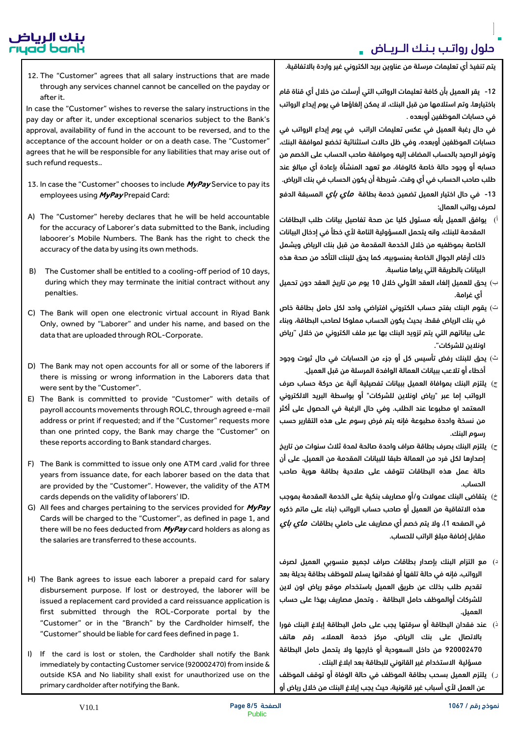# بنك الرياض<br>rıyad bank

يتم تنفيذ أي تعليمات مرسلة من عناوين بريد الكتروني غير واردة باالتفاقية.

12. The "Customer" agrees that all salary instructions that are made through any services channel cannot be cancelled on the payday or after it.

In case the "Customer" wishes to reverse the salary instructions in the pay day or after it, under exceptional scenarios subject to the Bank's approval, availability of fund in the account to be reversed, and to the acceptance of the account holder or on a death case. The "Customer" agrees that he will be responsible for any liabilities that may arise out of such refund requests..

- 13. In case the "Customer" chooses to include **MyPay** Service to pay its employees using **MyPay** Prepaid Card:
- A) The "Customer" hereby declares that he will be held accountable for the accuracy of Laborer's data submitted to the Bank, including laboorer's Mobile Numbers. The Bank has the right to check the accuracy of the data by using its own methods.
- B) The Customer shall be entitled to a cooling-off period of 10 days, during which they may terminate the initial contract without any penalties.
- C) The Bank will open one electronic virtual account in Riyad Bank Only, owned by "Laborer" and under his name, and based on the data that are uploaded through ROL-Corporate.
- D) The Bank may not open accounts for all or some of the laborers if there is missing or wrong information in the Laborers data that were sent by the "Customer".
- E) The Bank is committed to provide "Customer" with details of payroll accounts movements through ROLC, through agreed e-mail address or print if requested; and if the "Customer" requests more than one printed copy, the Bank may charge the "Customer" on these reports according to Bank standard charges.
- F) The Bank is committed to issue only one ATM card ,valid for three years from issuance date, for each laborer based on the data that are provided by the "Customer". However, the validity of the ATM cards depends on the validity of laborers' ID.
- G) All fees and charges pertaining to the services provided for **MyPay** Cards will be charged to the "Customer", as defined in page 1, and there will be no fees deducted from **MyPay** card holders as along as the salaries are transferred to these accounts.
- H) The Bank agrees to issue each laborer a prepaid card for salary disbursement purpose. If lost or destroyed, the laborer will be issued a replacement card provided a card reissuance application is first submitted through the ROL-Corporate portal by the "Customer" or in the "Branch" by the Cardholder himself, the "Customer" should be liable for card fees defined in page 1.
- I) If the card is lost or stolen, the Cardholder shall notify the Bank immediately by contacting Customer service (920002470) from inside & outside KSA and No liability shall exist for unauthorized use on the primary cardholder after notifying the Bank.

-12 يقر العميل بأن كافة تعليمات الرواتب التي أرسلت من خالل أي قناة قام باختيارها، وتم استالمها من قبل البنك، ال يمكن إلغاؤها في يوم إيداع الرواتب في حسابات الموظفين أوبعده .

في حال رغبة العميل في عكس تعليمات الراتب في يوم إيداع الرواتب في حسابات الموظفين أوبعده، وفي ظل حاالت استثنائية تخضع لموافقة البنك، وتوفر الرصيد بالحساب المضاف إليه وموافقة صاحب الحساب على الخصم من حسابه أو وجود حالة خاصة كالوفاة، مع تعهد المنشأة بإعادة أي مبالغ عند طلب صاحب الحساب في أي وقت. شريطة أن يكون الحساب في بنك الرياض.

13- في حال اختيار العميل تضمين خدمة بطاقة *ماي باي* المسبقة الدفع لصرف رواتب العمال:

- أ( يوافق العميل بأنه مسئول كليا عن صحة تفاصيل بيانات طلب البطاقات المقدمة للبنك، وانه يتحمل المسؤولية التامة لأي خطأ في إدخال البيانات الخاصة بموظفيه من خالل الخدمة المقدمة من قبل بنك الرياض ويشمل ذلك أرقام الجوال الخاصة بمنسوبيه، كما يحق للبنك التأكد من صحة هذه البيانات بالطريقة التي يراها مناسبة.
- $(\cdot)$ بحق للعميل إلغاء العقد الأولى خلال 10 يوم من تاريخ العقد دون تحميل أي غرامة.
- ت) يقوم البنك بفتح حساب الكتروني افتراضي واحد لكل حامل بطاقة خاص في بنك الرياض فقط، بحيث يكون الحساب مملوكا لصاحب البطاقة، وبناء على بياناتهم التي يتم تزويد البنك بها عبر ملف الكتروني من خالل "رياض اونالين للشركات".
- ث) يحق للبنك رفض تأسيس كل أو جزء من الحسابات في حال ثبوت وجود أخطاء أو تلاعب ببيانات العمالة الوافدة المرسلة من قبل العميل.
- $\tau$ ) يلتزم البنك بموافاة العميل ببيانات تفصيلية آلية عن حركة حساب صرف الرواتب إما عبر "رياض اونالين للشركات" أو بواسطة البريد االلكتروني المعتمد او مطبوعا عند الطلب. وفي حال الرغبة في الحصول على أكثر من نسخة واحدة مطبوعة فإنه يتم فرض رسوم على هذه التقارير حسب رسوم البنك.
- ح) يلتزم البنك بصرف بطاقة صراف واحدة صالحة لمدة ثلاث سنوات من تاريخ إصدارها لكل فرد من العمالة طبقا للبيانات المقدمة من العميل، على أن حالة عمل هذه البطاقات تتوقف على صالحية بطاقة هوية صاحب الحساب.
- خ) ابتقاضى البنك عمولات و/أو مصاريف بنكية على الخدمة المقدمة بموجب هذه االتفاقية من العميل أو صاحب حساب الرواتب )بناء على ماتم ذكره في الصفحه 1)، ولا يتم خصم أي مصاريف على حاملي بطاقات *ماي باي* مقابل إضافة مبلغ الراتب للحساب.
- $\mathbf{u}$ د) مع التزام البنك بإصدار بطاقات صراف لجميع منسوبي العميل لصرف الرواتب، فإنه في حالة تلفها أو فقدانها يسلم للموظف بطاقة بديلة بعد تقديم طلب بذلك عن طريق العميل باستخدام موقع رياض اون الين للشركات أوالموظف حامل البطاقة ، وتحمل مصاريف بهذا على حساب العميل.
- $\,$ ذ) عند فقدان البطاقة أو سرقتها يجب على حامل البطاقة إبلاغ البنك فورا باالتصال على بنك الرياض، مركز خدمة العمالء، رقم هاتف 920002470 من داخل السعودية أو خارجها وال يتحمل حامل البطاقة مسؤلية االستخدام غير القانوني للبطاقة بعد ابالغ البنك .
- ر) يلتزم العميل بسحب بطاقة الموظف في حالة الوفاة أو توقف الموظف عن العمل ألي أسباب غير قانونية، حيث يجب إبالغ البنك من خالل رياض أو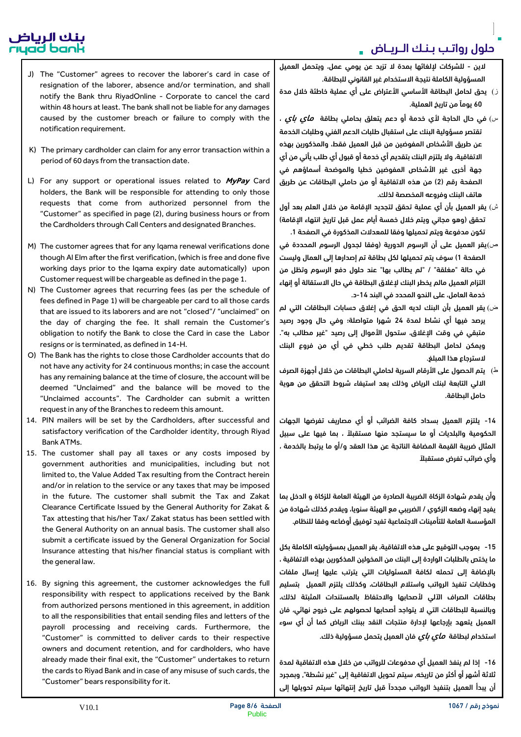# بنك الرياض<br>rıyad bank

- J) The "Customer" agrees to recover the laborer's card in case of resignation of the laborer, absence and/or termination, and shall notify the Bank thru RiyadOnline - Corporate to cancel the card within 48 hours at least. The bank shall not be liable for any damages caused by the customer breach or failure to comply with the notification requirement.
- K) The primary cardholder can claim for any error transaction within a period of 60 days from the transaction date.
- L) For any support or operational issues related to **MyPay** Card holders, the Bank will be responsible for attending to only those requests that come from authorized personnel from the "Customer" as specified in page (2), during business hours or from the Cardholders through Call Centers and designated Branches.
- M) The customer agrees that for any Iqama renewal verifications done though Al Elm after the first verification, (which is free and done five working days prior to the Iqama expiry date automatically) upon Customer request will be chargeable as defined in the page 1.
- N) The Customer agrees that recurring fees (as per the schedule of fees defined in Page 1) will be chargeable per card to all those cards that are issued to its laborers and are not "closed"/ "unclaimed" on the day of charging the fee. It shall remain the Customer's obligation to notify the Bank to close the Card in case the Labor resigns or is terminated, as defined in 14-H.
- O) The Bank has the rights to close those Cardholder accounts that do not have any activity for 24 continuous months; in case the account has any remaining balance at the time of closure, the account will be deemed "Unclaimed" and the balance will be moved to the "Unclaimed accounts". The Cardholder can submit a written request in any of the Branches to redeem this amount.
- 14. PIN mailers will be set by the Cardholders, after successful and satisfactory verification of the Cardholder identity, through Riyad Bank ATMs.
- 15. The customer shall pay all taxes or any costs imposed by government authorities and municipalities, including but not limited to, the Value Added Tax resulting from the Contract herein and/or in relation to the service or any taxes that may be imposed in the future. The customer shall submit the Tax and Zakat Clearance Certificate Issued by the General Authority for Zakat & Tax attesting that his/her Tax/ Zakat status has been settled with the General Authority on an annual basis. The customer shall also submit a certificate issued by the General Organization for Social Insurance attesting that his/her financial status is compliant with the general law.
- 16. By signing this agreement, the customer acknowledges the full responsibility with respect to applications received by the Bank from authorized persons mentioned in this agreement, in addition to all the responsibilities that entail sending files and letters of the payroll processing and receiving cards. Furthermore, the "Customer" is committed to deliver cards to their respective owners and document retention, and for cardholders, who have already made their final exit, the "Customer" undertakes to return the cards to Riyad Bank and in case of any misuse of such cards, the "Customer" bears responsibility for it.

الين - للشركات إللغائها بمدة ال تزيد عن يومي عمل، ويتحمل العميل المسؤولية الكاملة نتيجة االستخدام غير القانوني للبطاقة.

- ز) يحق لحامل البطاقة الأساسي الأعتراض على أي عملية خاطئة خلال مدة 60 يوماً من تاريخ العملية.
- س) في حال الحاجة لأي خدمة أو دعم يتعلق بحاملي بطاقة  $\bm{\omega}$  ،  $\bm{\omega}$  ، تقتصر مسؤولية البنك على استقبال طلبات الدعم الفني وطلبات الخدمة عن طريق الأشخاص المفوضين من قبل العميل فقط، والمذكورين بهذه االتفاقية، وال يلتزم البنك بتقديم أي خدمة أو قبول أي طلب يأتي من أي جهة أخرى غير الأشخاص المفوضين خطيا والموضحة أسماؤهم في الصفحة رقم (2) من هذه الاتفاقية أو من حاملي البطاقات عن طريق هاتف البنك وفروعه المخصصة لذلك.
- $\hat{\mathbf{u}}$ ش) يقر العميل بأن أي عملية تحقق لتجديد الإقامة من خلال العلم بعد أول تحقق (وهو مجاني ويتم خلال خمسة أيام عمل قبل تاريخ انتهاء الإقامة) تكون مدفوعة ويتم تحميلها وفقا للمعدالت المذكورة في الصفحة .1
- ص)يقر العميل على أن الرسوم الدورية (وفقا لجدول الرسوم المحددة في الصفحة 1) سوف يتم تحميلها لكل بطاقة تم إصدارها إلى العمال وليست في حالة "مغلقة" / "لم يطالب بها" عند حلول دفع الرسوم وتظل من التزام العميل مالم يخطر البنك إلغالق البطاقة في حال االستقالة أو إنهاء خدمة العامل، على النحو المحدد في البند 14-د.
- ض( يقر العميل بأن البنك لديه الحق في إغالق حسابات البطاقات التي لم يرصد فيها أي نشاط لمدة 24 شهرا متواصلة؛ وفي حال وجود رصيد متبقي في وقت اإلغالق، ستحول األموال إلى رصيد "غير مطالب به". ويمكن لحامل البطاقة تقديم طلب خطي في أي من فروع البنك السترجاع هذا المبلغ.
- <sup>ط</sup>) يتم الحصول على الأرقام السرية لحاملي البطاقات من خلال أجهزة الصرف االلي التابعة لبنك الرياض وذلك بعد استيفاء شروط التحقق من هوية حامل البطاقة.

-14 يلتزم العميل بسداد كافة الضرائب أو أي مصاريف تفرضها الجهات الحكومية والبلديات أو ما سيستجد منها مستقبلاً ، بما فيها على سبيل المثال ضريبة القيمة المضافة الناتجة عن هذا العقد و/أو ما يرتبط بالخدمة ، وأي ضرائب تفرض مستقبلآ

وأن يقدم شهادة الزكاة الضريبة الصادرة من الهيئة العامة للزكاة و الدخل بما يفيد إنهاء وضعه الزكوي / الضريبي مع الهيئة سنويا، ويقدم كذلك شهادة من المؤسسة العامة للتأمينات االجتماعية تفيد توفيق أوضاعه وفقا للنظام.

-15 بموجب التوقيع على هذه االتفاقية، يقر العميل بمسؤوليته الكاملة بكل ما يختص بالطلبات الواردة إلى البنك من المخولين المذكورين بهذه االتفاقية ، باإلضافة إلى تحمله لكافة المسئوليات التي يترتب عليها إرسال ملفات وخطابات تنفيذ الرواتب واستالم البطاقات، وكذلك يلتزم العميل بتسليم بطاقات الصراف اآللي ألصحابها واالحتفاظ بالمستندات المثبتة لذلك، وبالنسبة للبطاقات التي ال يتواجد أصحابها لحصولهم على خروج نهائي، فان العميل يتعهد بإرجاعها إلدارة منتجات النقد ببنك الرياض كما أن أي سوء استخدام لبطاقة *ماي باي* فان العميل يتحمل مسؤولية ذلك.

-16 إذا لم ينفذ العميل أي مدفوعات للرواتب من خالل هذه االتفاقية لمدة ثالثة أشهر أو أكثر من تاريخه, سيتم تحويل االتفاقية إلى "غير نشطة", وبمجرد أن يبدأ العميل بتنفيذ الرواتب مجدداً قبل تاريخ إنتهائها سيتم تحويلها إلى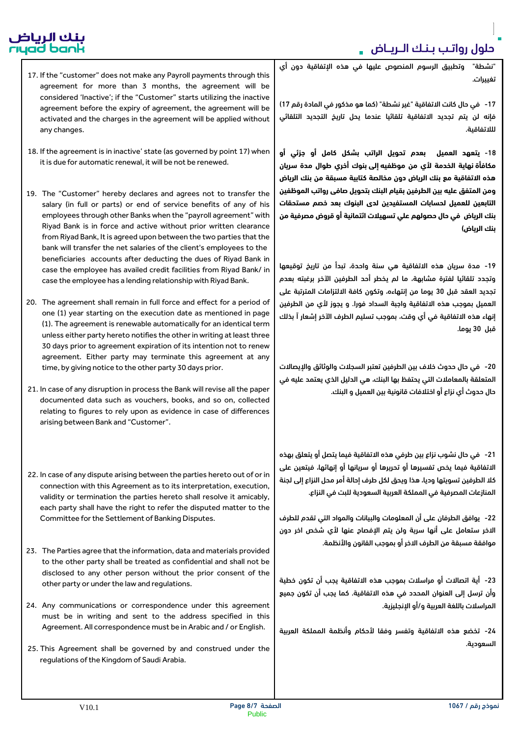### بنك الرياض<br>rıyad bank

- 17. If the "customer" does not make any Payroll payments through this agreement for more than 3 months, the agreement will be considered 'Inactive'; if the "Customer" starts utilizing the inactive agreement before the expiry of agreement, the agreement will be activated and the charges in the agreement will be applied without any changes.
- 18. If the agreement is in inactive' state (as governed by point 17) when it is due for automatic renewal, it will be not be renewed.
- 19. The "Customer" hereby declares and agrees not to transfer the salary (in full or parts) or end of service benefits of any of his employees through other Banks when the "payroll agreement" with Riyad Bank is in force and active without prior written clearance from Riyad Bank, It is agreed upon between the two parties that the bank will transfer the net salaries of the client's employees to the beneficiaries accounts after deducting the dues of Riyad Bank in case the employee has availed credit facilities from Riyad Bank/ in case the employee has a lending relationship with Riyad Bank.
- 20. The agreement shall remain in full force and effect for a period of one (1) year starting on the execution date as mentioned in page (1). The agreement is renewable automatically for an identical term unless either party hereto notifies the other in writing at least three 30 days prior to agreement expiration of its intention not to renew agreement. Either party may terminate this agreement at any time, by giving notice to the other party 30 days prior.
- 21. In case of any disruption in process the Bank will revise all the paper documented data such as vouchers, books, and so on, collected relating to figures to rely upon as evidence in case of differences arising between Bank and "Customer".
- 22. In case of any dispute arising between the parties hereto out of or in connection with this Agreement as to its interpretation, execution, validity or termination the parties hereto shall resolve it amicably, each party shall have the right to refer the disputed matter to the Committee for the Settlement of Banking Disputes.
- 23. The Parties agree that the information, data and materials provided to the other party shall be treated as confidential and shall not be disclosed to any other person without the prior consent of the other party or under the law and regulations.
- 24. Any communications or correspondence under this agreement must be in writing and sent to the address specified in this Agreement. All correspondence must be in Arabic and / or English.
- 25. This Agreement shall be governed by and construed under the regulations of the Kingdom of Saudi Arabia.

"نشطة" وتطبيق الرسوم المنصوص عليها في هذه اإلتفاقية دون أي تغييرات.

17- في حال كانت الاتفاقية "غير نشطة" (كما هو مذكور في المادة رقم 17) فإنه لن يتم تجديد االتفاقية تلقائيا عندما يحل تاريخ التجديد التلقائي للالتفاقية.

-18 **يتعهد العميل بعدم تحويل الراتب بشكل كامل أو جزئي أو مكافأة نهاية الخدمة ألي من موظفيه إلى بنوك أخري طوال مدة سريان هذه االتفاقية مع بنك الرياض دون مخالصة كتابية مسبقة من بنك الرياض ومن المتفق عليه بين الطرفين بقيام البنك بتحويل صافى رواتب الموظفين التابعين للعميل لحسابات المستفيدين لدى البنوك بعد خصم مستحقات بنك الرياض في حال حصولهم علي تسهيالت ائتمانية أو قروض مصرفية من بنك الرياض(**

-19 مدة سريان هذه االتفاقية هي سنة واحدة، تبدأ من تاريخ توقيعها وتجدد تلقائيا لفترة مشابهة، ما لم يخطر أحد الطرفين اآلخر برغبته بعدم تجديد العقد قبل 30 يوما من إنتهاءه، وتكون كافة االلتزامات المترتبة على العميل بموجب هذه االتفاقية واجبة السداد فورا. و يجوز ألي من الطرفين إنهاء هذه االتفاقية في أي وقت، بموجب تسليم الطرف اآلخر إشعار اً بذلك قبل 30 يوما.

20- في حال حدوث خلاف بين الطرفين تعتبر السجلات والوثائق والإيصالات المتعلقة بالمعامالت التي يحتفظ بها البنك، هي الدليل الذي يعتمد عليه في حال حدوث أي نزاع أو اختالفات قانونية بين العميل و البنك.

-21 في حال نشوب نزاع بين طرفي هذه االتفاقية فيما يتصل أو يتعلق بهذه االتفاقية فيما يخص تفسيرها أو تحريرها أو سريانها أو إنهائها، فيتعين على كال الطرفين تسويتها وديا، هذا ويحق لكل طرف إحالة أمر محل النزاع إلى لجنة المنازعات المصرفية في المملكة العربية السعودية للبت في النزاع.

-22 يوافق الطرفان على أن المعلومات والبيانات والمواد التي تقدم للطرف االخر ستعامل على أنها سرية ولن يتم اإلفصاح عنها ألي شخص اخر دون موافقة مسبقة من الطرف االخر أو بموجب القانون واألنظمة.

-23 أية اتصاالت أو مراسالت بموجب هذه االتفاقية يجب أن تكون خطية وأن ترسل إلى العنوان المحدد في هذه االتفاقية. كما يجب أن تكون جميع المراسالت باللغة العربية و/أو اإلنجليزية.

-24 تخضع هذه االتفاقية وتفسر وفقا ألحكام وأنظمة المملكة العربية السعودية.